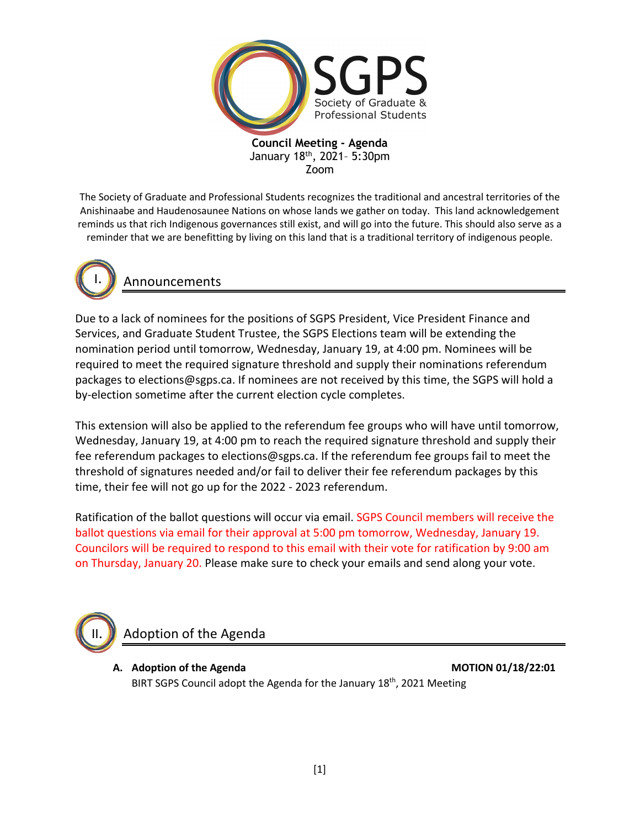

The Society of Graduate and Professional Students recognizes the traditional and ancestral territories of the Anishinaabe and Haudenosaunee Nations on whose lands we gather on today. This land acknowledgement reminds us that rich Indigenous governances still exist, and will go into the future. This should also serve as a reminder that we are benefitting by living on this land that is a traditional territory of indigenous people.



Announcements

Due to a lack of nominees for the positions of SGPS President, Vice President Finance and Services, and Graduate Student Trustee, the SGPS Elections team will be extending the nomination period until tomorrow, Wednesday, January 19, at 4:00 pm. Nominees will be required to meet the required signature threshold and supply their nominations referendum packages to elections@sgps.ca. If nominees are not received by this time, the SGPS will hold a by-election sometime after the current election cycle completes.

This extension will also be applied to the referendum fee groups who will have until tomorrow, Wednesday, January 19, at 4:00 pm to reach the required signature threshold and supply their fee referendum packages to elections@sgps.ca. If the referendum fee groups fail to meet the threshold of signatures needed and/or fail to deliver their fee referendum packages by this time, their fee will not go up for the 2022 - 2023 referendum.

Ratification of the ballot questions will occur via email. SGPS Council members will receive the ballot questions via email for their approval at 5:00 pm tomorrow, Wednesday, January 19. Councilors will be required to respond to this email with their vote for ratification by 9:00 am on Thursday, January 20. Please make sure to check your emails and send along your vote.



Adoption of the Agenda

**A. Adoption of the Agenda MOTION 01/18/22:01** BIRT SGPS Council adopt the Agenda for the January 18<sup>th</sup>, 2021 Meeting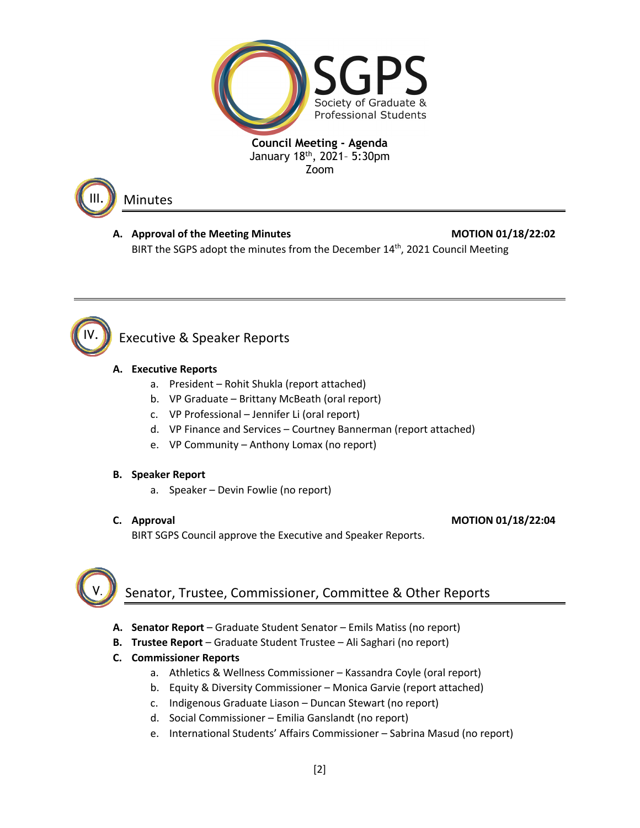



## Minutes

## A. Approval of the Meeting Minutes **MOTION 01/18/22:02** BIRT the SGPS adopt the minutes from the December 14<sup>th</sup>, 2021 Council Meeting



# Executive & Speaker Reports

## **A. Executive Reports**

- a. President Rohit Shukla (report attached)
- b. VP Graduate Brittany McBeath (oral report)
- c. VP Professional Jennifer Li (oral report)
- d. VP Finance and Services Courtney Bannerman (report attached)
- e. VP Community Anthony Lomax (no report)

## **B. Speaker Report**

a. Speaker – Devin Fowlie (no report)

**C. Approval MOTION 01/18/22:04**

BIRT SGPS Council approve the Executive and Speaker Reports.



# Senator, Trustee, Commissioner, Committee & Other Reports

- **A. Senator Report** Graduate Student Senator Emils Matiss (no report)
- **B. Trustee Report** Graduate Student Trustee Ali Saghari (no report)
- **C. Commissioner Reports**
	- a. Athletics & Wellness Commissioner Kassandra Coyle (oral report)
	- b. Equity & Diversity Commissioner Monica Garvie (report attached)
	- c. Indigenous Graduate Liason Duncan Stewart (no report)
	- d. Social Commissioner Emilia Ganslandt (no report)
	- e. International Students' Affairs Commissioner Sabrina Masud (no report)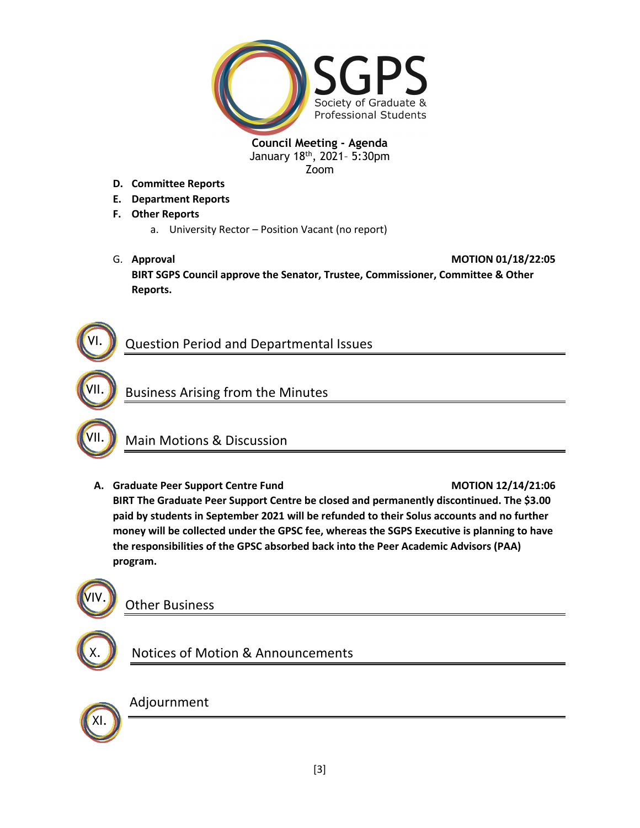

- **D. Committee Reports**
- **E. Department Reports**
- **F. Other Reports**
	- a. University Rector Position Vacant (no report)
- G. **Approval MOTION 01/18/22:05 BIRT SGPS Council approve the Senator, Trustee, Commissioner, Committee & Other Reports.**



VII.

# Question Period and Departmental Issues





## Main Motions & Discussion

**A. Graduate Peer Support Centre Fund MOTION 12/14/21:06 BIRT The Graduate Peer Support Centre be closed and permanently discontinued. The \$3.00 paid by students in September 2021 will be refunded to their Solus accounts and no further money will be collected under the GPSC fee, whereas the SGPS Executive is planning to have the responsibilities of the GPSC absorbed back into the Peer Academic Advisors (PAA) program.**



X.

## Other Business

# Notices of Motion & Announcements



## Adjournment